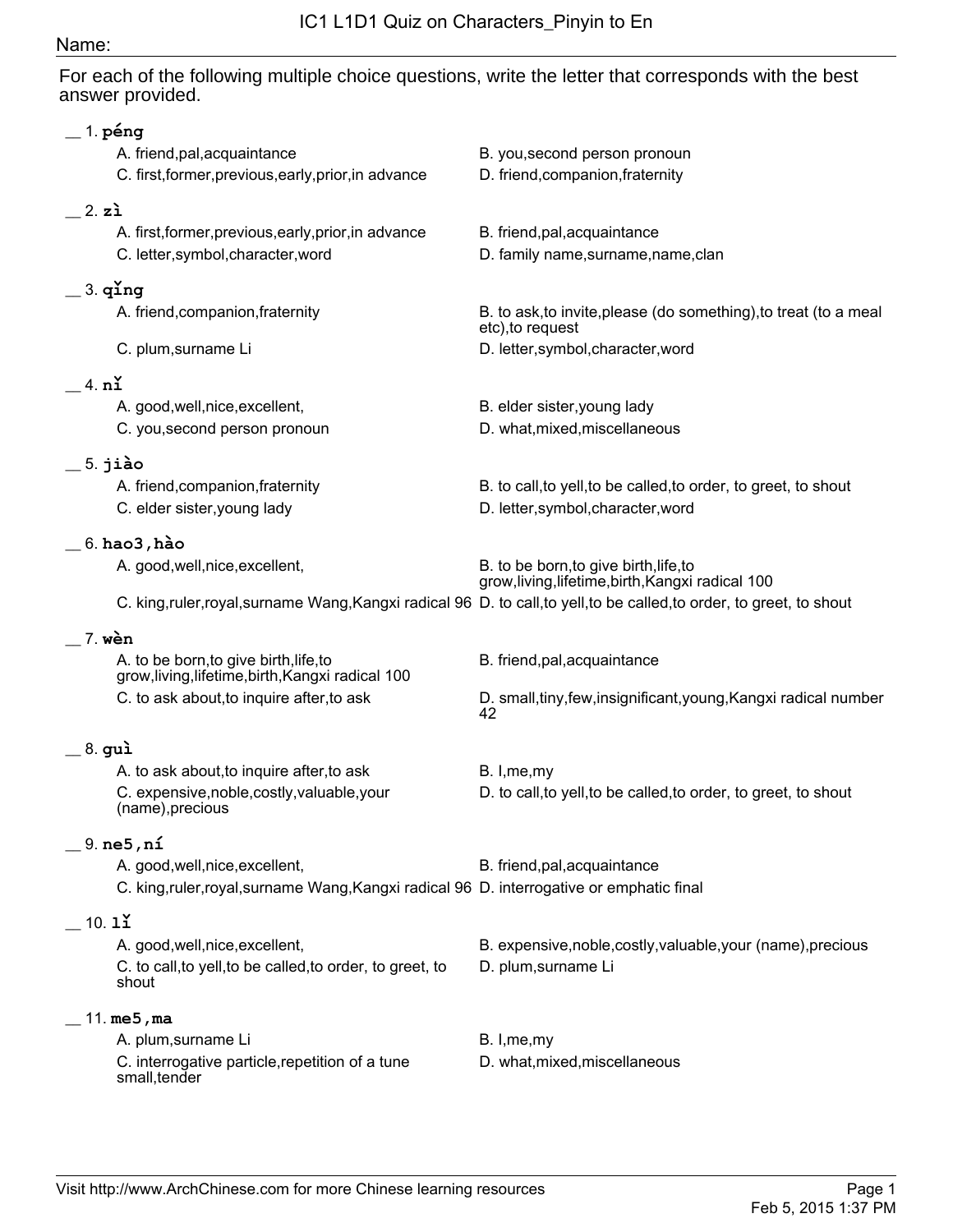## Name:

For each of the following multiple choice questions, write the letter that corresponds with the best answer provided.

| $\_$ 1. péng                                                                                |                                                                                                                 |  |
|---------------------------------------------------------------------------------------------|-----------------------------------------------------------------------------------------------------------------|--|
| A. friend, pal, acquaintance                                                                | B. you, second person pronoun                                                                                   |  |
| C. first, former, previous, early, prior, in advance                                        | D. friend, companion, fraternity                                                                                |  |
| 2. z <sub>i</sub>                                                                           |                                                                                                                 |  |
| A. first, former, previous, early, prior, in advance                                        | B. friend, pal, acquaintance                                                                                    |  |
| C. letter, symbol, character, word                                                          | D. family name, surname, name, clan                                                                             |  |
| $=$ 3. $q$ ing                                                                              |                                                                                                                 |  |
| A. friend, companion, fraternity                                                            | B. to ask, to invite, please (do something), to treat (to a meal<br>etc), to request                            |  |
| C. plum, surname Li                                                                         | D. letter, symbol, character, word                                                                              |  |
| 4. nľ                                                                                       |                                                                                                                 |  |
| A. good, well, nice, excellent,                                                             | B. elder sister, young lady                                                                                     |  |
| C. you, second person pronoun                                                               | D. what, mixed, miscellaneous                                                                                   |  |
| $=$ 5. jiào                                                                                 |                                                                                                                 |  |
| A. friend, companion, fraternity                                                            | B. to call, to yell, to be called, to order, to greet, to shout                                                 |  |
| C. elder sister, young lady                                                                 | D. letter, symbol, character, word                                                                              |  |
| $\_$ 6. hao3 , hào                                                                          |                                                                                                                 |  |
| A. good, well, nice, excellent,                                                             | B. to be born, to give birth, life, to                                                                          |  |
|                                                                                             | grow, living, lifetime, birth, Kangxi radical 100                                                               |  |
|                                                                                             | C. king,ruler,royal,surname Wang,Kangxi radical 96 D. to call,to yell,to be called,to order, to greet, to shout |  |
| 7. wèn                                                                                      |                                                                                                                 |  |
| A. to be born, to give birth, life, to<br>grow, living, lifetime, birth, Kangxi radical 100 | B. friend, pal, acquaintance                                                                                    |  |
| C. to ask about, to inquire after, to ask                                                   | D. small, tiny, few, insignificant, young, Kangxi radical number<br>42                                          |  |
| _ 8. guì                                                                                    |                                                                                                                 |  |
| A. to ask about, to inquire after, to ask                                                   | B. I, me, my                                                                                                    |  |
| C. expensive, noble, costly, valuable, your<br>(name), precious                             | D. to call, to yell, to be called, to order, to greet, to shout                                                 |  |
| $\_$ 9. ne5, ní                                                                             |                                                                                                                 |  |
| A. good, well, nice, excellent,                                                             | B. friend, pal, acquaintance                                                                                    |  |
| C. king,ruler,royal,surname Wang, Kangxi radical 96 D. interrogative or emphatic final      |                                                                                                                 |  |
| $10.1$ ľ                                                                                    |                                                                                                                 |  |
| A. good, well, nice, excellent,                                                             | B. expensive, noble, costly, valuable, your (name), precious                                                    |  |
| C. to call, to yell, to be called, to order, to greet, to<br>shout                          | D. plum, surname Li                                                                                             |  |
| 11. $me5$ , ma                                                                              |                                                                                                                 |  |
| A. plum, surname Li                                                                         | B. I, me, my                                                                                                    |  |
| C. interrogative particle, repetition of a tune                                             | D. what, mixed, miscellaneous                                                                                   |  |
| small, tender                                                                               |                                                                                                                 |  |
|                                                                                             |                                                                                                                 |  |